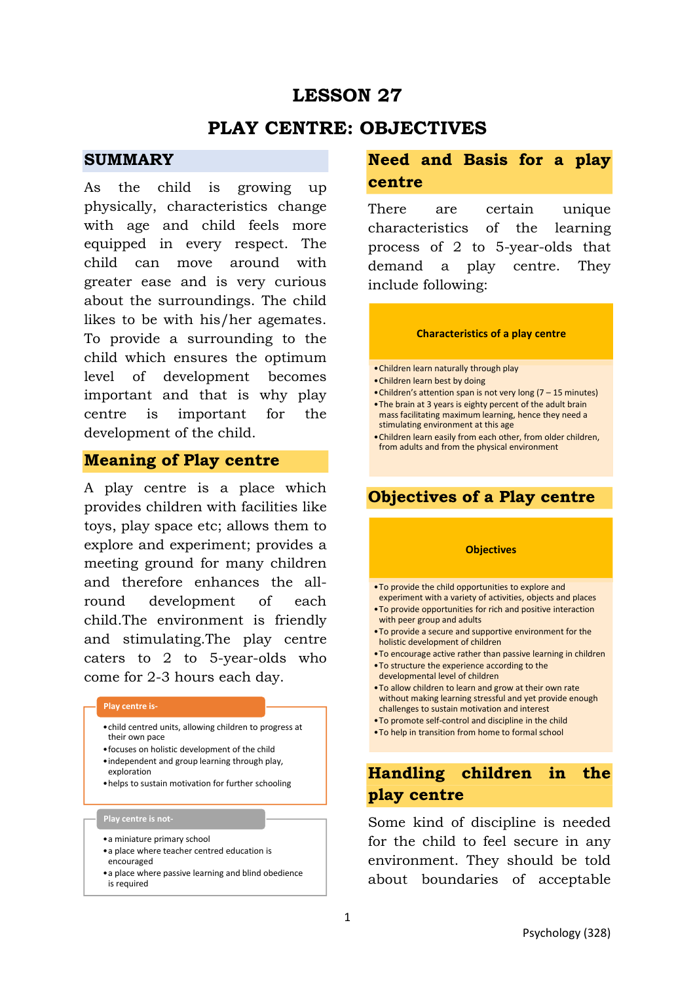# **LESSON 27**

## **PLAY CENTRE: OBJECTIVES**

### **SUMMARY**

As the child is growing up physically, characteristics change with age and child feels more equipped in every respect. The child can move around with greater ease and is very curious about the surroundings. The child likes to be with his/her agemates. To provide a surrounding to the child which ensures the optimum level of development becomes important and that is why play centre is important for the development of the child.

### **Meaning of Play centre**

A play centre is a place which provides children with facilities like toys, play space etc; allows them to explore and experiment; provides a meeting ground for many children and therefore enhances the allround development of each child.The environment is friendly and stimulating.The play centre caters to 2 to 5-year-olds who come for 2-3 hours each day.

#### **Play centre is-**

- •child centred units, allowing children to progress at their own pace
- •focuses on holistic development of the child •independent and group learning through play,
- exploration •helps to sustain motivation for further schooling

#### **Play centre is not-**

- •a miniature primary school
- •a place where teacher centred education is encouraged
- •a place where passive learning and blind obedience is required

## **Need and Basis for a play centre**

There are certain unique characteristics of the learning process of 2 to 5-year-olds that demand a play centre. They include following:

#### **Characteristics of a play centre**

- •Children learn naturally through play
- •Children learn best by doing
- •Children's attention span is not very long (7 15 minutes)
- •The brain at 3 years is eighty percent of the adult brain mass facilitating maximum learning, hence they need a stimulating environment at this age
- •Children learn easily from each other, from older children, from adults and from the physical environment

## **Objectives of a Play centre**

#### **Objectives**

- •To provide the child opportunities to explore and experiment with a variety of activities, objects and places
- •To provide opportunities for rich and positive interaction with peer group and adults
- •To provide a secure and supportive environment for the holistic development of children
- •To encourage active rather than passive learning in children
- •To structure the experience according to the
- developmental level of children
- •To allow children to learn and grow at their own rate without making learning stressful and yet provide enough challenges to sustain motivation and interest
- •To promote self-control and discipline in the child
- •To help in transition from home to formal school

# **Handling children in the play centre**

Some kind of discipline is needed for the child to feel secure in any environment. They should be told about boundaries of acceptable